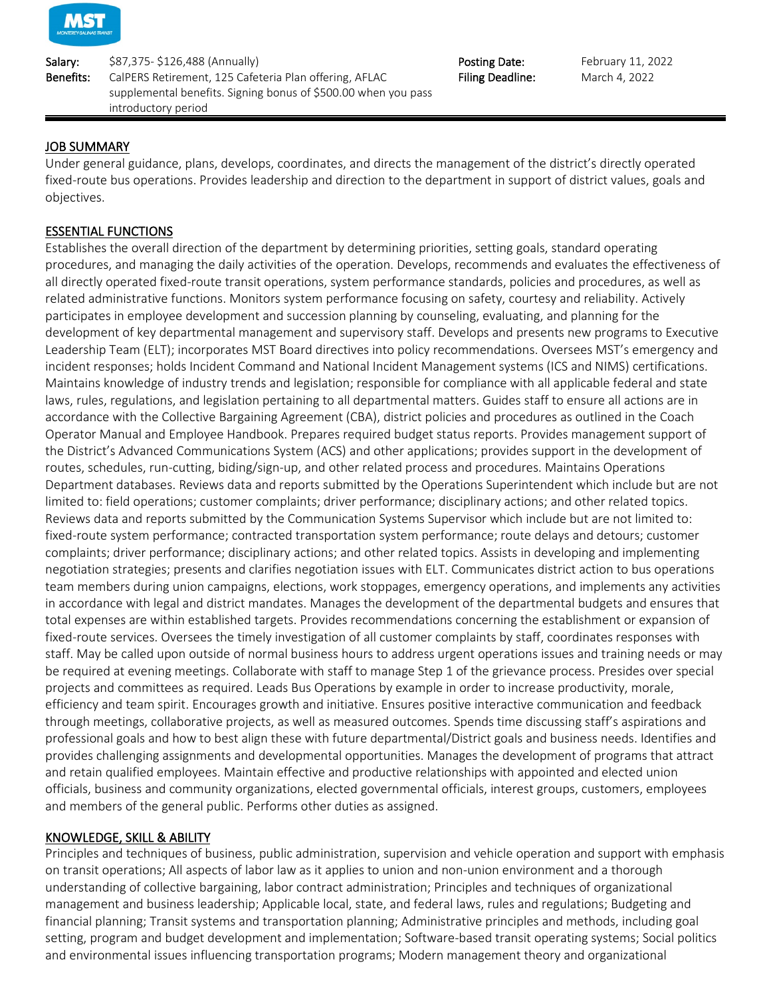

Salary: \$87,375- \$126,488 (Annually) Salary: February 11, 2022 Benefits: CalPERS Retirement, 125 Cafeteria Plan offering, AFLAC supplemental benefits. Signing bonus of \$500.00 when you pass introductory period

Filing Deadline: March 4, 2022

## JOB SUMMARY

Under general guidance, plans, develops, coordinates, and directs the management of the district's directly operated fixed-route bus operations. Provides leadership and direction to the department in support of district values, goals and objectives.

## ESSENTIAL FUNCTIONS

Establishes the overall direction of the department by determining priorities, setting goals, standard operating procedures, and managing the daily activities of the operation. Develops, recommends and evaluates the effectiveness of all directly operated fixed-route transit operations, system performance standards, policies and procedures, as well as related administrative functions. Monitors system performance focusing on safety, courtesy and reliability. Actively participates in employee development and succession planning by counseling, evaluating, and planning for the development of key departmental management and supervisory staff. Develops and presents new programs to Executive Leadership Team (ELT); incorporates MST Board directives into policy recommendations. Oversees MST's emergency and incident responses; holds Incident Command and National Incident Management systems (ICS and NIMS) certifications. Maintains knowledge of industry trends and legislation; responsible for compliance with all applicable federal and state laws, rules, regulations, and legislation pertaining to all departmental matters. Guides staff to ensure all actions are in accordance with the Collective Bargaining Agreement (CBA), district policies and procedures as outlined in the Coach Operator Manual and Employee Handbook. Prepares required budget status reports. Provides management support of the District's Advanced Communications System (ACS) and other applications; provides support in the development of routes, schedules, run-cutting, biding/sign-up, and other related process and procedures. Maintains Operations Department databases. Reviews data and reports submitted by the Operations Superintendent which include but are not limited to: field operations; customer complaints; driver performance; disciplinary actions; and other related topics. Reviews data and reports submitted by the Communication Systems Supervisor which include but are not limited to: fixed-route system performance; contracted transportation system performance; route delays and detours; customer complaints; driver performance; disciplinary actions; and other related topics. Assists in developing and implementing negotiation strategies; presents and clarifies negotiation issues with ELT. Communicates district action to bus operations team members during union campaigns, elections, work stoppages, emergency operations, and implements any activities in accordance with legal and district mandates. Manages the development of the departmental budgets and ensures that total expenses are within established targets. Provides recommendations concerning the establishment or expansion of fixed-route services. Oversees the timely investigation of all customer complaints by staff, coordinates responses with staff. May be called upon outside of normal business hours to address urgent operations issues and training needs or may be required at evening meetings. Collaborate with staff to manage Step 1 of the grievance process. Presides over special projects and committees as required. Leads Bus Operations by example in order to increase productivity, morale, efficiency and team spirit. Encourages growth and initiative. Ensures positive interactive communication and feedback through meetings, collaborative projects, as well as measured outcomes. Spends time discussing staff's aspirations and professional goals and how to best align these with future departmental/District goals and business needs. Identifies and provides challenging assignments and developmental opportunities. Manages the development of programs that attract and retain qualified employees. Maintain effective and productive relationships with appointed and elected union officials, business and community organizations, elected governmental officials, interest groups, customers, employees and members of the general public. Performs other duties as assigned.

### KNOWLEDGE, SKILL & ABILITY

Principles and techniques of business, public administration, supervision and vehicle operation and support with emphasis on transit operations; All aspects of labor law as it applies to union and non-union environment and a thorough understanding of collective bargaining, labor contract administration; Principles and techniques of organizational management and business leadership; Applicable local, state, and federal laws, rules and regulations; Budgeting and financial planning; Transit systems and transportation planning; Administrative principles and methods, including goal setting, program and budget development and implementation; Software-based transit operating systems; Social politics and environmental issues influencing transportation programs; Modern management theory and organizational